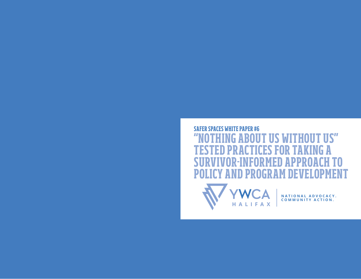## **SAFER SPACES WHITE PAPER #6 "NOTHING ABOUT US WITHOUT US" TESTED PRACTICES FOR TAKING A SURVIVOR-INFORMED APPROACH TO POLICY AND PROGRAM DEVELOPMENT**



**NATIONAL ADVOCACY. COMMUNITY ACTION .**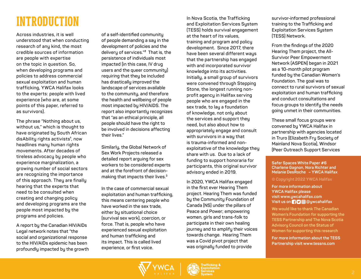## **INTRODUCTION**

**Across industries, it is well understood that when conducting research of any kind, the most credible sources of information are people with expertise on the topic in question. So, when developing programs and policies to address commercial sexual exploitation and human trafficking, YWCA Halifax looks to the experts: people with lived experience (who are, at some points of this paper, referred to as survivors).**

**The phrase "Nothing about us, without us," which is thought to have originated by South African**  disAbility rights activists<sup>1</sup>, now **headlines many human rights movements. After decades of tireless advocacy by people who experience marginalization, a growing number of social sectors are recognizing the importance of this approach. They are finally hearing that the experts that need to be consulted when creating and changing policy and developing programs are the people most impacted by the programs and policies.** 

**A report by the Canadian HIV/AIDs Legal network notes that "the social and organizational response to the HIV/AIDs epidemic has been profoundly impacted by the growth** 

**of a self-identified community of people demanding a say in the development of policies and the delivery of services."² That is, the persistence of individuals most impacted (in this case, IV drug users and the queer community) requiring that they be included has drastically improved the landscape of services available to the community, and therefore the health and wellbeing of people most impacted by HIV/AIDS. The report also importantly recognizes that "as an ethical principle, all people should have the right to be involved in decisions affecting their lives."** 

**Similarly, the Global Network of Sex Work Projects released a detailed report arguing for sex workers to be considered experts and at the forefront of decisionmaking that impacts their lives.3**

**In the case of commercial sexual exploitation and human trafficking, this means centering people who have worked in the sex trade, either by situational choice (survival sex work), coercion, or force. That is, people who have experienced sexual exploitation and human trafficking and its impact. This is called lived experience, or first voice.**

**In Nova Scotia, the Trafficking and Exploitation Services System (TESS) holds survival engagement at the heart of its values, training and program and policy development. Since 2017, there have been several different ways that the partnership has engaged with and incorporated survivor knowledge into its activities. Initially, a small group of survivors were convened through Stepping Stone, the longest running nonprofit agency in Halifax serving people who are engaged in the sex trade, to lay a foundation of knowledge, not only about the services and support they need, but also about how to appropriately engage and consult with survivors in a way that is trauma-informed and nonexploitative of the knowledge they share with us. Due to a lack of funding to support honoraria for participants, this original survivor advisory ended in 2019.**

**In 2020, YWCA Halifax engaged in the first ever Hearing Them project. Hearing Them was funded by the Community Foundation of Canada (NS) under the pillars of Peace and Power; empowering women, girls and trans-folk to participate in their own healing journey and to amplify their voices towards change. Hearing Them was a Covid pivot project that was originally funded to provide** 

**survivor-informed professional training to the Trafficking and Exploitation Services System (TESS) Network.**

**From the findings of the 2020 Hearing Them project, the All-Survivor Peer Empowerment Network (ASPEN) began in 2021 as a 10-month pilot program funded by the Canadian Women's Foundation. The goal was to connect to rural survivors of sexual exploitation and human trafficking and conduct consultations and focus groups to identify the needs going unmet in their communities.** 

**These small focus groups were convened by YWCA Halifax in partnership with agencies located in Truro (Elizabeth Fry Society of Mainland Nova Scotia), Windsor (Peer Outreach Support Services** 

#### **Safer Spaces White Paper #6 Charlene Gagnon, Nora Richter and Melanie DesRoche – YWCA Halifax**

#### **© Copyright 2022 YWCA Halifax**

**For more information about YWCA Halifax please visit www.ywcahalifax.com Visit us on @Oggwcahalifax** 

**We would like to thank The Canadian Women's Foundation for supporting the TESS Partnership and The Nova Scotia Advisory Council on the Status of Women for supporting this research**

**For more information about the TESS Partnership visit www.tessns.com**

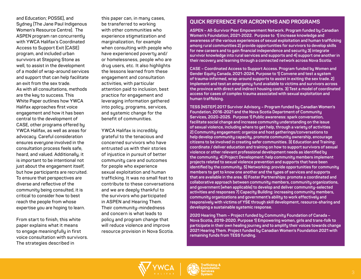**and Education; POSSE), and Sydney (The Jane Paul Indigenous Women's Resource Centre). The ASPEN program ran concurrently with YWCA Halifax's Coordinated Access to Support Exit (CASE) program, and included urban survivors at Stepping Stone as well, to assist in the development of a model of wrap-around services and support that can help facilitate an exit from the sex trade. As with all consultations, methods are the key to success. This White Paper outlines how YWCA Halifax approaches first voice engagement and how it has been central to the development of CASE, other programs offered by YWCA Halifax, as well as areas for advocacy. Careful consideration ensures everyone involved in the consultation process feels safe, heard, and valued. Additionally, it is important to be intentional not just about the engagement itself, but how participants are recruited. To ensure that perspectives are diverse and reflective of the community being consulted, it is critical to consider how to best reach the people from whose expertise you are hoping to learn.**

**From start to finish, this white paper explains what it means to engage meaningfully in first voice consultation with survivors. The strategies described in** 

**this paper can, in many cases, be transferred to working with other communities who experience stigmatization and marginalization, for example when consulting with people who have experienced poverty and/ or homelessness, people who are drug users, etc. It also highlights the lessons learned from these engagement and consultation activities, with particular attention paid to inclusion, best practice for engagement and leveraging information gathered into policy, programs, services, and systemic change for the benefit of communities.**

**YWCA Halifax is incredibly grateful to the tenacious and concerned survivors who have entrusted us with their stories of injustice in pursuit of better community care and outcomes for people who experience sexual exploitation and human trafficking. It was no small feat to contribute to these conversations and we are deeply thankful to the survivors who participated in ASPEN and Hearing Them. Their community-mindedness and concern is what leads to policy and program change that will reduce violence and improve resource provision in Nova Scotia.**

#### **QUICK REFERENCE FOR ACRONYMS AND PROGRAMS**

**ASPEN – All-Survivor Peer Empowerment Network. Program funded by Canadian Women's Foundation, 2021-2022. Purpose to 1) increase knowledge and awareness of the various experiences of sexual exploitation and human trafficking among rural communities 2) provide opportunities for survivors to develop skills for new careers and to gain financial independence and security 3) integrate survivor knowledge into rural services and supports and 4) support one another in their recovery and learning through a connected network across Nova Scotia.**

**CASE – Coordinated Access to Support Access. Program funded by Women and Gender Equity Canada, 2021-2024. Purpose to 1) Convene and test a system of trauma-informed, wrap-around supports to assist in exiting the sex trade. 2) Implement and test an emergency fund available to victims and survivors across the province with direct and indirect housing costs. 3) Test a model of coordinated access for cases of complex trauma associated with sexual exploitation and human trafficking.**

**TESS (NSTEP) 2017 Survivor Advisory – Program funded by Canadian Women's Foundation, 2016-2021 and the Nova Scotia Department of Community Services, 2020-2025. Purpose 1) Public awareness: spark conversation, facilitate social change and increase community understanding on the issue of sexual violence, including where to get help, through a variety of activities 2) Community engagement: organize and host gatherings/conversations to help develop community capacity, promote community ownership, encourage citizens to be involved in creating safer communities. 3) Education and Training: coordinate / deliver education and training on how to support survivors of sexual violence or other relevant professional development needs as identified by the community. 4) Project Development: help community members implement projects related to sexual violence prevention and supports that have been identified by the community. 5) Networking: provide opportunities for community members to get to know one another and the types of services and supports that are available in the area. 6) Foster Partnerships: promote a coordinated and collaborative approach between community members, community organizations, and government (when applicable) to develop and deliver community-selected activities and responses 7) Capacity Building: increasing community members, community organizations and government's ability to work effectively and responsively with victims of YSE through skill development, resource-sharing and developing a sustainable systemic response.** 

**2020 Hearing Them – Project funded by Community Foundation of Canada – Nova Scotia, 2019-2020. Purpose 1) Empowering women, girls and trans-folk to participate in their own healing journey and to amplify their voices towards change 2021 Hearing Them. Project funded by Canadian Women's Foundation 2021 with remaining funds from TESS funding.**

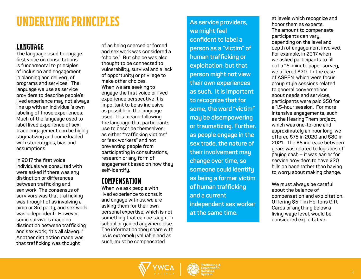## **UNDERLYING PRINCIPLES As service providers,**

### **LANGUAGE**

**The language used to engage first voice on consultations is fundamental to principles of inclusion and engagement in planning and delivery of programs and services. The language we use as service providers to describe people's lived experience may not always line up with an individual's own labeling of those experiences. Much of the language used to label lived experience of sex trade engagement can be highly stigmatizing and come loaded with stereotypes, bias and assumptions.** 

**In 2017 the first voice individuals we consulted with were asked if there was any distinction or differences between trafficking and sex work. The consensus of survivors was that trafficking was thought of as involving a pimp or 3rd party, and sex work was independent. However, some survivors made no distinction between trafficking and sex work; "It's all slavery." Another distinction made was that trafficking was thought** 

**of as being coerced or forced and sex work was considered a "choice." But choice was also thought to be connected to vulnerability, survival and a lack of opportunity or privilege to make other choices. When we are seeking to engage the first voice or lived experience perspective it is important to be as inclusive as possible in the language used. This means following the language that participants use to describe themselves: as either "trafficking victims" or "sex workers" and not preventing people from participating in consultations, research or any form of engagement based on how they self-identify.**

### **COMPENSATION**

**When we ask people with lived experience to consult and engage with us, we are asking them for their own personal expertise, which is not something that can be taught in school or gained anywhere else. The information they share with us is extremely valuable and as such, must be compensated** 

**we might feel confident to label a person as a "victim" of human trafficking or exploitation, but that person might not view their own experiences as such. It is important to recognize that for some, the word "victim" may be disempowering or traumatizing. Further, as people engage in the sex trade, the nature of their involvement may change over time, so someone could identify as being a former victim of human trafficking and a current independent sex worker at the same time.** 

**at levels which recognize and honor them as experts. The amount to compensate participants can vary, depending on the level and depth of engagement involved. For example, in 2017 when we asked participants to fill out a 15-minute paper survey, we offered \$20. In the case of ASPEN, which were focus group style sessions related to general conversations about needs and services, participants were paid \$50 for a 1.5-hour session. For more intensive engagements, such as the Hearing Them project, which was one-to-one and approximately an hour long, we offered \$75 in 2020 and \$80 in 2021. The \$5 increase between years was related to logistics of paying cash – it was easier for service providers to have \$20 bills on hand rather than having to worry about making change.** 

**We must always be careful about the balance of compensation and exploitation. Offering \$5 Tim Hortons Gift Cards or anything below a living wage level, would be considered exploitative.** 



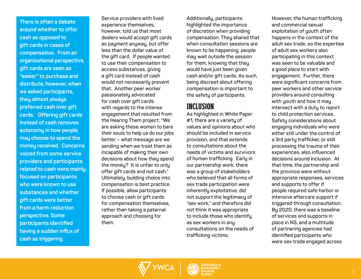**There is often a debate around whether to offer cash as opposed to gift cards in cases of compensation. From an organizational perspective, gift cards are seen as "easier" to purchase and distribute, however, when we asked participants, they almost always preferred cash over gift cards. Offering gift cards instead of cash removes autonomy in how people may choose to spend the money received. Concerns voiced from some service providers and participants related to cash were mainly focused on participants who were known to use substances and whether gift cards were better from a harm-reduction perspective. Some participants identified having a sudden influx of cash as triggering.** 

**Service providers with lived experience themselves, however, told us that most dealers would accept gift cards as payment anyway, but offer less than the dollar value of the gift card. If people wanted to use their compensation to access substances, giving a gift card instead of cash would not necessarily prevent that. Another peer worker passionately advocated for cash over gift cards with regards to the intense engagement that resulted from the Hearing Them project; "We are asking these women to bare their souls to help us do our jobs better – what message are we sending when we treat them as incapable of making their own decisions about how they spend the money? It is unfair to only offer gift cards and not cash." Ultimately, building choice into compensation is best practice. If possible, allow participants to choose cash or gift cards for compensation themselves, rather than taking a paternal approach and choosing for them.** 

**Additionally, participants highlighted the importance of discretion when providing compensation. They shared that when consultation sessions are known to be happening, people may wait outside the session for them, knowing that they would have just been given cash and/or gift cards. As such, being discreet about offering compensation is important to the safety of participants.**

## **INCLUSION**

**As highlighted in White Paper #1, there are a variety of values and opinions about who should be included in service provision, and that extends to consultations about the needs of victims and survivors of human trafficking. Early in our partnership work, there was a group of stakeholders who believed that all forms of sex trade participation were inherently exploitative, did not support the legitimacy of "sex work," and therefore did not think it was appropriate to include those who identify as sex workers in any consultations on the needs of trafficking victims.**

**However, the human trafficking and commercial sexual exploitation of youth often happens in the context of the adult sex trade, so the expertise of adult sex workers also participating in this context was seen to be valuable and a good place to start with engagement. Further, there were significant concerns from peer workers and other service providers around consulting with youth and how it may intersect with a duty to report to child protection services. Safety considerations about engaging individuals who were either still under the control of a 3rd party trafficker, or still processing the trauma of their experiences, also influenced decisions around inclusion. At that time, the partnership and the province were without appropriate responses, services and supports to offer if people required safe harbor or intensive aftercare support if triggered through consultation. By 2020, there was a baseline of services and supports in place in NS, and a multitude of partnering agencies had identified participants who were sex trade engaged across** 

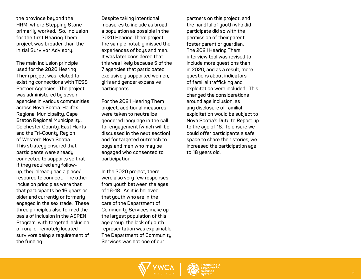**the province beyond the HRM, where Stepping Stone primarily worked. So, inclusion for the first Hearing Them project was broader than the initial Survivor Advisory.** 

**The main inclusion principle used for the 2020 Hearing Them project was related to existing connections with TESS Partner Agencies. The project was administered by seven agencies in various communities across Nova Scotia: Halifax Regional Municipality, Cape Breton Regional Municipality, Colchester County, East Hants and the Tri-County Region of Western Nova Scotia. This strategy ensured that participants were already connected to supports so that if they required any followup, they already had a place/ resource to connect. The other inclusion principles were that that participants be 16 years or older and currently or formerly engaged in the sex trade. These three principles also formed the basis of inclusion in the ASPEN Program, with targeted inclusion of rural or remotely located survivors being a requirement of the funding.**

**Despite taking intentional measures to include as broad a population as possible in the 2020 Hearing Them project, the sample notably missed the experiences of boys and men. It was later considered that this was likely because 5 of the 7 agencies that participated exclusively supported women, girls and gender expansive participants.** 

**For the 2021 Hearing Them project, additional measures were taken to neutralize gendered language in the call for engagement (which will be discussed in the next section) and for targeted outreach to boys and men who may be engaged who consented to participation.**

**In the 2020 project, there were also very few responses from youth between the ages of 16-18. As it is believed that youth who are in the care of the Department of Community Services make up the largest population of this age group, the lack of youth representation was explainable. The Department of Community Services was not one of our** 

**partners on this project, and the handful of youth who did participate did so with the permission of their parent, foster parent or guardian. The 2021 Hearing Them interview tool was revised to include more questions than in 2020, and as a result, more questions about indicators of familial trafficking and exploitation were included. This changed the considerations around age inclusion, as any disclosure of familial exploitation would be subject to Nova Scotia's Duty to Report up to the age of 18. To ensure we could offer participants a safe space to share their stories, we increased the participation age to 18 years old.** 

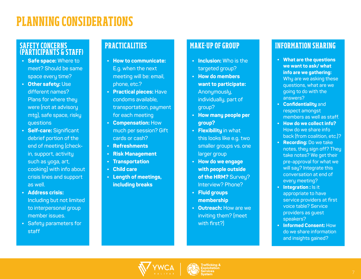## **PLANNING CONSIDERATIONS**

#### **SAFETY CONCERNS (PARTICIPANTS & STAFF)**

- **• Safe space: Where to meet? Should be same space every time?**
- **• Other safety: Use different names? Plans for where they were (not at advisory mtg), safe space, risky questions**
- **• Self-care: Significant debrief portion of the end of meeting (checkin, support, activity such as yoga, art, cooking) with info about crisis lines and support as well.**
- **• Address crisis: Including but not limited to interpersonal group member issues.**
- **• Safety parameters for staff**

## **PRACTICALITIES**

- **• How to communicate: E.g. when the next meeting will be: email, phone, etc.?**
- **• Practical pieces: Have condoms available, transportation, payment for each meeting**
- **• Compensation: How much per session? Gift cards or cash?**
- **• Refreshments**
- **• Risk Management**
- **• Transportation**
- **• Child care**
- **• Length of meetings, including breaks**

### **MAKE-UP OF GROUP**

- **• Inclusion: Who is the targeted group?**
- **• How do members want to participate: Anonymously, individually, part of group?**
- **• How many people per group?**
- **• Flexibility in what this looks like e.g. two smaller groups vs. one larger group**
- **• How do we engage with people outside of the HRM? Survey? Interview? Phone?**
- **• Fluid groups membership**
- **• Outreach: How are we inviting them? (meet with first?)**

### **INFORMATION SHARING**

- **• What are the questions we want to ask/ what info are we gathering: Why are we asking these questions, what are we going to do with the answers?**
- **• Confidentiality and respect amongst members as well as staff.**
- **• How do we collect info? How do we share info back (from coalition, etc.)?**
- **• Recording: Do we take notes, they sign off? They take notes? We get their pre-approval for what we will say? Integrate this conversation at end of every meeting?**
- **• Integration : Is it appropriate to have service providers at first voice table? Service providers as guest speakers?**
- **• Informed Consent: How do we share information and insights gained?**



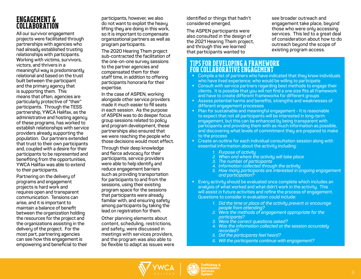### **ENGAGEMENT & COLLABORATION**

**All our survivor engagement projects were facilitated through partnerships with agencies who had already established trusting relationships with participants. Working with victims, survivors, victors, and thrivers in a meaningful way is predominantly relational and based on the trust built between the participant and the primary agency that is supporting them. This means that often, agencies are particularly protective of "their" participants. Through the TESS partnership, YWCA Halifax, as the administrative and hosting agency of these programs, has worked to establish relationships with service providers already supporting the population. Our partners extended that trust to their own participants and, coupled with a desire for their participants to be represented and benefiting from the opportunities, YWCA Halifax was able to extend to their participants.** 

**Partnering on the delivery of programs and engagement projects is hard work and requires open and transparent communication. Tensions can arise, and it is important to maintain a balance of benefit between the organization holding the resources for the project and the organizations assisting in the delivery of the project. For the most part, partnering agencies can see how this engagement is empowering and beneficial to their** 

**participants, however, we also do not want to exploit the heavy lifting they are doing in this work, so it is important to compensate organizational partners as well as program participants.** 

**The 2020 Hearing Them project sub-contracted the facilitation of the one-on-one survey sessions to the partner agencies and compensated them for their staff time, in addition to offering participants honoraria for their expertise.** 

**In the case of ASPEN, working alongside other service providers made it much easier to fill seats in each session. As the purpose of ASPEN was to do deeper focus group sessions related to policy and program development, these partnerships also ensured that we were reaching the people who those decisions would most effect.** 

**Through their deep knowledge and fierce advocacy for their participants, service providers were able to help identify and reduce engagement barriers such as providing transportation for participants to and from the sessions, using their existing program space for the sessions that participants were already familiar with, and ensuring safety among participants by taking the lead on registration for them.**

**Other planning elements about content, scheduling, restrictions, and safety, were discussed in meetings with services providers, and the program was also able to be flexible to adapt as issues were**  **identified or things that hadn't considered emerged.**

**The ASPEN participants were also consulted in the design of the 2021 Hearing Them project, and through this we learned that participants wanted to** 

**see broader outreach and engagement take place, beyond those who were only accessing services. This led to a great deal of consideration about how to do outreach beyond the scope of existing program access.** 

#### **TIPS FOR DEVELOPING A FRAMEWORK FOR COLLABORATIVE ENGAGEMENT**

- **• Compile a list of partners who have indicated that they know individuals who have lived experience, who would be willing to participate**
- **• Consult with service partners regarding best methods to engage their clients. It is possible that you will not find a one size fits all framework and have to create different frameworks for different groups**
- **• Assess potential harms and benefits; strengths and weaknesses of different engagement processes**
- **• Plan for sustainable and meaningful engagement It is reasonable to expect that not all participants will be interested in long-term engagement, but this can be enhanced by being transparent with participants and providing them with as much information as possible, and discovering what levels of commitment they are prepared to make to the process**
- **• Create an outline for each individual consultation session along with essential information about the activity including:**
	- *1. Purpose of activity*
	- *2. When and where the activity will take place*
	- *3. The number of participants*
	- *4. Information collected through the activity*
	- *5. How many participants are interested in ongoing engagement and participation?*
- **• Every activity should be evaluated once complete which includes an analysis of what worked and what didn't work in the activity. This will assist in future activities and refine the process of engagement. Questions to consider in evaluation could include:**
	- *1. Did the time or place of the activity prevent or encourage people from attending?*
	- *2. Were the methods of engagement appropriate for the participants?*
	- *3. Were the correct questions asked?*
	- *4. Was the information collected at the session accurately recorded?*
	- *5. Did the participants feel heard?*
	- *6. Will the participants continue with engagement?*



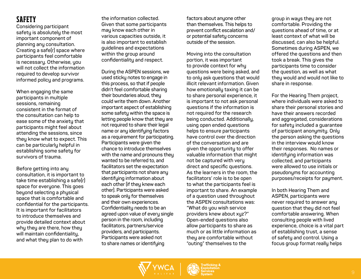## **SAFETY**

**Considering participant safety is absolutely the most important component of planning any consultation. Creating a safe(r) space where participants feel comfortable is necessary. Otherwise, you will not collect the information required to develop survivor informed policy and programs.**

**When engaging the same participants in multiple sessions, remaining consistent in the format of the consultation can help to ease some of the anxiety that participants might feel about attending the sessions, since they know what to expect. This can be particularly helpful in establishing some safety for survivors of trauma.**

**Before getting into any consultation, it is important to take time establishing a safe(r) space for everyone. This goes beyond selecting a physical space that is comfortable and confidential for the participants. It is important for facilitators to introduce themselves and provide detailed context about why they are there, how they will maintain confidentiality, and what they plan to do with** 

**the information collected. Given that some participants may know each other in various capacities outside, it is also important to establish guidelines and expectations within the group around confidentiality and respect.**

**During the ASPEN sessions, we used sticky notes to engage in this process, so that if people didn't feel comfortable sharing their boundaries aloud, they could write them down. Another important aspect of establishing some safety within the space is letting people know that they are not required to share their legal name or any identifying factors as a requirement for participating. Participants were given the chance to introduce themselves with the name and pronouns they wanted to be referred to, and facilitators set the expectation that participants not share any identifying information about each other (if they knew each other). Participants were asked to speak only for themselves and their own experiences. Confidentiality needs to be an agreed upon value of every single person in the room, including facilitators, partners/service providers, and participants. Participants were asked not to share names or identifying** 

**factors about anyone other than themselves. This helps to prevent conflict escalation and/ or potential safety concerns outside of the session.**

**Moving into the consultation portion, it was important to provide context for why questions were being asked, and to only ask questions that would illicit relevant information. Given how emotionally taxing it can be to share personal experience, it is important to not ask personal questions if the information is not required for the research being conducted. Additionally, using open ended questions helps to ensure participants have control over the direction of the conversation and are given the opportunity to offer valuable information that might not be captured with very direct and specific questions. As the learners in the room, the facilitators' role is to be open to what the participants feel is important to share. An example of a question used throughout the ASPEN consultations was: "What do you wish service providers knew about xyz?" Open-ended questions also allow participants to share as much or as little information as they are comfortable without "outing" themselves to the** 

**group in ways they are not comfortable. Providing the questions ahead of time, or at least context of what will be discussed, can also be helpful. Sometimes during ASPEN, we offered the questions and then took a break. This gives the participants time to consider the question, as well as what they would and would not like to share in response.** 

**For the Hearing Them project, where individuals were asked to share their personal stories and have their answers recorded and aggregated, considerations for safety included a guarantee of participant anonymity. Only the person asking the questions in the interview would know their responses. No names or identifying information was collected, and participants were allowed to use initials or pseudonyms for accounting purposes/receipts for payment.** 

**In both Hearing Them and ASPEN, participants were never required to answer any question that they did not feel comfortable answering. When consulting people with lived experience, choice is a vital part of establishing trust, a sense of safety and control. Using a focus group format really helps** 

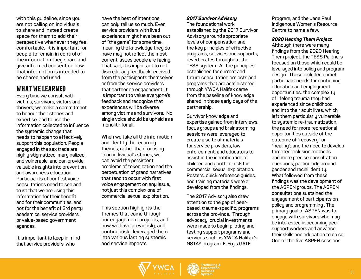**with this guideline, since you are not calling on individuals to share and instead create space for them to add their perspective whenever they feel comfortable. It is important for people to remain in control of the information they share and give informed consent on how that information is intended to be shared and used.**

#### **WHAT WE LEARNED**

**Every time we consult with victims, survivors, victors and thrivers, we make a commitment to honour their stories and expertise, and to use the information collected to influence the systemic change that needs to happen to effectively support this population. People engaged in the sex trade are highly stigmatized, marginalized, and vulnerable, and can provide valuable insights into prevention and awareness education. Participants of our first voice consultations need to see and trust that we are using this information for their benefit and for their communities, and not for the benefit of 3rd party academics, service providers, or value-based government agendas.** 

**It is important to keep in mind that service providers, who** 

**have the best of intentions, can only tell us so much. Even service providers with lived experience might have been out of "the game" for some time, meaning the knowledge they do have may not reflect the most current issues people are facing. That said, it is important to not discredit any feedback received from the participants themselves or from the service providers that partner on engagement. It is important to value everyone's feedback and recognize that experiences will be diverse among victims and survivors. No single voice should be upheld as a monolith for all.** 

**When we take all the information and identify the recurring themes, rather than focusing in on individual's stories, we can avoid the persistent problems of tokenization and the perpetuation of grand narratives that tend to occur with first voice engagement on any issue, not just this complex one of commercial sexual exploitation.** 

**This section highlights the themes that came through our engagement projects, and how we have previously, and continuously, leveraged them into various lasting systemic and service impacts.**

#### *2017 Survivor Advisory*

**The foundational work established by the 2017 Survivor Advisory around appropriate levels of compensation and the key principles of effective programs, services and supports, reverberates throughout the TESS system. All the principles established for current and future consultation projects and programs that are administered through YWCA Halifax came from the baseline of knowledge shared in those early days of the partnership.** 

**Survivor knowledge and expertise gained from interviews, focus groups and brainstorming sessions were leveraged to create a suite of materials for service providers, law enforcement, and educators to assist in the identification of children and youth at-risk for commercial sexual exploitation. Posters, quick reference guides, and training materials were all developed from the findings.** 

**The 2017 Advisory also drew attention to the gap of peerbased, trauma-specific, programs across the province. Through advocacy, crucial investments were made to begin piloting and testing support programs and services such as YWCA Halifax's NSTAY program, E-Fry's GATE** 

**Program, and the Jane Paul Indigenous Women's Resource Centre to name a few.**

#### *2020 Hearing Them Project*

**Although there were many findings from the 2020 Hearing Them project, the TESS Partners focused on those which could be leveraged into policy and program design. These included unmet participant needs for continuing education and employment opportunities; the complexity of lifelong trauma they had experienced since childhood and into their adult lives, which left them particularly vulnerable to systemic re-traumatization; the need for more recreational opportunities outside of the outcome of "recovery" or "healing"; and the need to develop targeted inclusion methods and more precise consultation questions, particularly around gender and racial identity. What followed from these findings was the development of the ASPEN groups. The ASPEN consultations sustained the engagement of participants on policy and programming . The primary goal of ASPEN was to engage with survivors who may be interested in becoming peer support workers and advance their skills and education to do so. One of the five ASPEN sessions** 



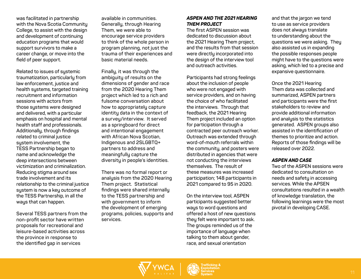**was facilitated in partnership with the Nova Scotia Community College, to assist with the design and development of continuing education programs that would support survivors to make a career change, or move into the field of peer support.**

**Related to issues of systemic traumatization, particularly from law enforcement, justice and health systems, targeted training recruitment and information sessions with actors from those systems were designed and delivered, with a particular emphasis on hospital and mental health staff and professionals. Additionally, through findings related to criminal justice system involvement, the TESS Partnership began to name and acknowledge the deep intersections between victimization and criminalization. Reducing stigma around sex trade involvement and its relationship to the criminal justice system is now a key outcome of the TESS Partnership, in all the ways that can happen.** 

**Several TESS partners from the non-profit sector have written proposals for recreational and leisure-based activities across the province in response to the identified gap in services** 

**available in communities. Generally, through Hearing Them, we were able to encourage service providers to think of the whole person in program planning, not just the trauma of their experiences and basic material needs.** 

**Finally, it was through the ambiguity of results on the dimensions of gender and race from the 2020 Hearing Them project which led to a rich and fulsome conversation about how to appropriately capture identity data in the context of a survey/interview. It served as a springboard for direct and intentional engagement with African Nova Scotian, Indigenous and 2SLGBTQ+ partners to address and meaningfully capture the diversity in people's identities.** 

**There was no formal report or analysis from the 2020 Hearing Them project. Statistical findings were shared internally to the TESS partnership and with government to inform the development of emerging programs, policies, supports and services.**

#### *ASPEN AND THE 2021 HEARING THEM PROJECT*

**The first ASPEN session was dedicated to discussion about the 2021 Hearing Them project, and the results from that session were directly incorporated into the design of the interview tool and outreach activities.** 

**Participants had strong feelings about the inclusion of people who were not engaged with service providers, and on having the choice of who facilitated the interviews. Through that feedback, the 2021 Hearing Them project included an option for participation through a contracted peer outreach worker. Outreach was extended through word-of-mouth referrals within the community, and posters were distributed in agencies that were not conducting the interviews themselves. The result of these measures was increased participation; 148 participants in 2021 compared to 95 in 2020.**

**On the interview tool, ASPEN participants suggested better ways to word questions and offered a host of new questions they felt were important to ask. The groups reminded us of the importance of language when talking to them about gender, race, and sexual orientation** 

**and that the jargon we tend to use as service providers does not always translate to understanding about the questions we were asking. They also assisted us in expanding the possible responses people might have to the questions were asking, which led to a precise and expansive questionnaire.** 

**Once the 2021 Hearing Them data was collected and summarized, ASPEN partners and participants were the first stakeholders to review and provide additional information and analysis to the statistics generated. ASPEN groups also assisted in the identification of themes to prioritize and action. Reports of those findings will be released over 2022.** 

#### *ASPEN AND CASE*

**Two of the ASPEN sessions were dedicated to consultation on needs and safety in accessing services. While the APSEN consultations resulted in a wealth of knowledge translation, the following learnings were the most pivotal in developing CASE.**



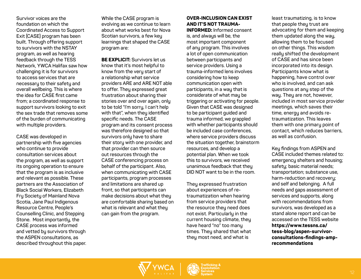**Survivor voices are the foundation on which the Coordinated Access to Support Exit (CASE) program has been built. Through offering support to survivors with the NSTAY program, as well as hearing feedback through the TESS Network, YWCA Halifax saw how challenging it is for survivors to access services that are necessary to their safety and overall wellbeing. This is where the idea for CASE first came from; a coordinated response to support survivors looking to exit the sex trade that removes some of the burden of communicating with multiple providers.**

**CASE was developed in partnership with five agencies who continue to provide consultation services about the program, as well as support its ongoing operation to ensure that the program is as inclusive and relevant as possible. These partners are the Association of Black Social Workers, Elizabeth Fry Society of Mainland Nova Scotia, Jane Paul Indigenous Resource Centre, People's Counselling Clinic, and Stepping Stone. Most importantly, the CASE process was informed and vetted by survivors through the ASPEN consultations, as described throughout this paper.** **While the CASE program is evolving as we continue to learn about what works best for Nova Scotian survivors, a few key learnings that shaped the CASE program are:**

**BE EXPLICIT: Survivors let us know that it's most helpful to know from the very start of a relationship what service providers ARE and ARE NOT able to offer. They expressed great frustration about sharing their stories over and over again, only to be told "I'm sorry, I can't help with that", when they identified specific needs. The CASE program and its consent process was therefore designed so that survivors only have to share their story with one provider, and that provider can then source out resources through the CASE conferencing process on behalf of the participant. Also, when communicating with CASE participants, program processes and limitations are shared up front, so that participants can make decisions about what they are comfortable sharing based on what is relevant and what they can gain from the program.**

#### **OVER-INCLUSION CAN EXIST AND IT'S NOT TRAUMA-**

**INFORMED: Informed consent is, and always will be, the most important component of any program. This involves a lot of open communication between participants and service providers. Using a trauma-informed lens involves considering how to keep communication open with participants, in a way that is considerate of what may be triggering or activating for people. Given that CASE was designed to be participant guided and trauma informed, we grappled with whether participants should be included case conferences, where service providers discuss the situation together, brainstorm resources, and develop a potential plan. When we took this to survivors, we received unanimous feedback that they DID NOT want to be in the room.** 

**They expressed frustration about experiences of retraumatization when hearing from service providers that the resource they need does not exist. Particularly in the current housing climate, they have heard "no" too many times. They shared that what they most need, and what is** 

**least traumatizing, is to know that people they trust are advocating for them and keeping them updated along the way, allowing them to be focused on other things. This wisdom really shifted the development of CASE and has since been incorporated into its design. Participants know what is happening, have control over who is involved, and can ask questions at any step of the way. They are not, however, included in most service provider meetings, which saves their time, energy and avoids retraumatization. This leaves them with one primary point of contact, which reduces barriers, as well as confusion.**

**Key findings from ASPEN and CASE included themes related to: emergency shelters and housing; safety; basic material needs; transportation; substance use, harm-reduction and recovery; and self and belonging. A full needs and gaps assessment of services and supports, along with recommendations from survivors, was developed as a stand alone report and can be accessed on the TESS website https://www.tessns.ca/ tess-blog/aspen-survivorconsultations-findings-amprecommendations** 

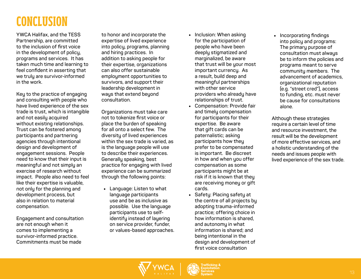# **CONCLUSION**

**YWCA Halifax, and the TESS Partnership, are committed to the inclusion of first voice in the development of policy, programs and services. It has taken much time and learning to feel confident in asserting that we truly are survivor-informed in the work.**

**Key to the practice of engaging and consulting with people who have lived experience of the sex trade is trust, which is intangible and not easily acquired without existing relationships. Trust can be fostered among participants and partnering agencies through intentional design and development of engagement sessions. People need to know that their input is meaningful and not simply an exercise of research without impact. People also need to feel like their expertise is valuable, not only for the planning and development process, but also in relation to material compensation.** 

**Engagement and consultation are not enough when it comes to implementing a survivor-informed practice. Commitments must be made** 

**to honor and incorporate the expertise of lived experience into policy, programs, planning and hiring practices. In addition to asking people for their expertise, organizations can also offer sustainable employment opportunities to survivors, and support their leadership development in ways that extend beyond consultation.** 

**Organizations must take care not to tokenize first voice or place the burden of speaking for all onto a select few. The diversity of lived experiences within the sex trade is varied, as is the language people will use to describe their experiences. Generally speaking, best practice for engaging with lived experience can be summarized through the following points:**

• **Language: Listen to what language participants use and be as inclusive as possible. Use the language participants use to selfidentify instead of layering on service provider, funder, or values-based approaches.**

- **Inclusion: When asking for the participation of people who have been deeply stigmatized and marginalized, be aware that trust will be your most important currency. As a result, build deep and meaningful partnerships with other service providers who already have relationships of trust.**
- **Compensation: Provide fair and timely compensation for participants for their expertise. Be aware that gift cards can be paternalistic; asking participants how they prefer to be compensated is important. Be discreet in how and when you offer compensation as some participants might be at risk if it is known that they are receiving money or gift cards.**
- **Safety: Placing safety at the centre of all projects by adopting trauma-informed practice; offering choice in how information is shared, and autonomy in what information is shared; and being intentional in the design and development of first voice consultation**

• **Incorporating findings into policy and programs: The primary purpose of consultation must always be to inform the policies and programs meant to serve community members. The advancement of academics, organizational reputation (e.g. "street cred"), access to funding, etc. must never be cause for consultations alone.**

**Although these strategies require a certain level of time and resource investment, the result will be the development of more effective services, and a holistic understanding of the needs and issues people with lived experience of the sex trade.**